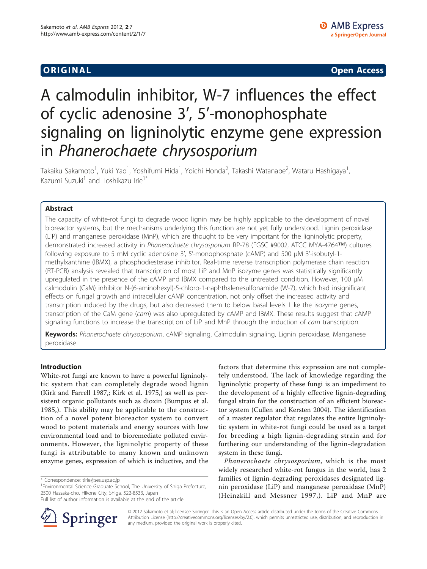ORIGINA L Open Access

# A calmodulin inhibitor, W-7 influences the effect of cyclic adenosine 3', 5'-monophosphate signaling on ligninolytic enzyme gene expression in Phanerochaete chrysosporium

Takaiku Sakamoto<sup>1</sup>, Yuki Yao<sup>1</sup>, Yoshifumi Hida<sup>1</sup>, Yoichi Honda<sup>2</sup>, Takashi Watanabe<sup>2</sup>, Wataru Hashigaya<sup>1</sup> , Kazumi Suzuki<sup>1</sup> and Toshikazu Irie<sup>1\*</sup>

# Abstract

The capacity of white-rot fungi to degrade wood lignin may be highly applicable to the development of novel bioreactor systems, but the mechanisms underlying this function are not yet fully understood. Lignin peroxidase (LiP) and manganese peroxidase (MnP), which are thought to be very important for the ligninolytic property, demonstrated increased activity in Phanerochaete chrysosporium RP-78 (FGSC #9002, ATCC MYA-4764™) cultures following exposure to 5 mM cyclic adenosine 3', 5'-monophosphate (cAMP) and 500 μM 3'-isobutyl-1 methylxanthine (IBMX), a phosphodiesterase inhibitor. Real-time reverse transcription polymerase chain reaction (RT-PCR) analysis revealed that transcription of most LiP and MnP isozyme genes was statistically significantly upregulated in the presence of the cAMP and IBMX compared to the untreated condition. However, 100 μM calmodulin (CaM) inhibitor N-(6-aminohexyl)-5-chloro-1-naphthalenesulfonamide (W-7), which had insignificant effects on fungal growth and intracellular cAMP concentration, not only offset the increased activity and transcription induced by the drugs, but also decreased them to below basal levels. Like the isozyme genes, transcription of the CaM gene (cam) was also upregulated by cAMP and IBMX. These results suggest that cAMP signaling functions to increase the transcription of LiP and MnP through the induction of cam transcription.

Keywords: Phanerochaete chrysosporium, cAMP signaling, Calmodulin signaling, Lignin peroxidase, Manganese peroxidase

## Introduction

White-rot fungi are known to have a powerful ligninolytic system that can completely degrade wood lignin ([Kirk and Farrell 1987](#page-7-0),; [Kirk et al. 1975,](#page-7-0)) as well as persistent organic pollutants such as dioxin ([Bumpus et al.](#page-7-0) [1985](#page-7-0),). This ability may be applicable to the construction of a novel potent bioreactor system to convert wood to potent materials and energy sources with low environmental load and to bioremediate polluted environments. However, the ligninolytic property of these fungi is attributable to many known and unknown enzyme genes, expression of which is inductive, and the

Full list of author information is available at the end of the article



factors that determine this expression are not completely understood. The lack of knowledge regarding the ligninolytic property of these fungi is an impediment to the development of a highly effective lignin-degrading fungal strain for the construction of an efficient bioreactor system [\(Cullen and Kersten 2004\)](#page-7-0). The identification of a master regulator that regulates the entire ligninolytic system in white-rot fungi could be used as a target for breeding a high lignin-degrading strain and for furthering our understanding of the lignin-degradation system in these fungi.

Phanerochaete chrysosporium, which is the most widely researched white-rot fungus in the world, has 2 families of lignin-degrading peroxidases designated lignin peroxidase (LiP) and manganese peroxidase (MnP) ([Heinzkill and Messner 1997,](#page-7-0)). LiP and MnP are

© 2012 Sakamoto et al; licensee Springer. This is an Open Access article distributed under the terms of the Creative Commons Attribution License [\(http://creativecommons.org/licenses/by/2.0](http://creativecommons.org/licenses/by/2.0)), which permits unrestricted use, distribution, and reproduction in any medium, provided the original work is properly cited.

<sup>\*</sup> Correspondence: [tirie@ses.usp.ac.jp](mailto:tirie@ses.usp.ac.jp)

<sup>&</sup>lt;sup>1</sup> Environmental Science Graduate School, The University of Shiga Prefecture, 2500 Hassaka-cho, Hikone City, Shiga, 522-8533, Japan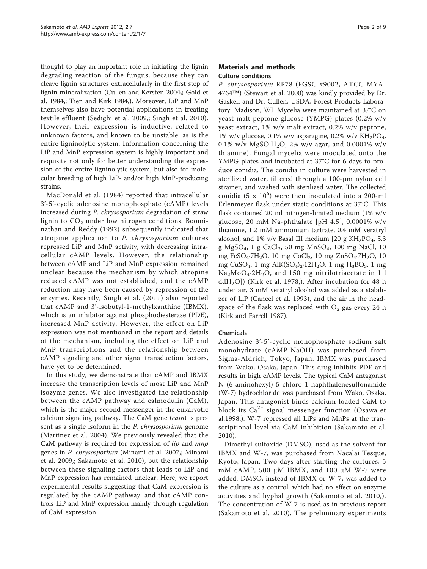thought to play an important role in initiating the lignin degrading reaction of the fungus, because they can cleave lignin structures extracellularly in the first step of lignin mineralization ([Cullen and Kersten 2004,](#page-7-0); [Gold et](#page-7-0) [al. 1984,](#page-7-0); [Tien and Kirk 1984](#page-7-0),). Moreover, LiP and MnP themselves also have potential applications in treating textile effluent ([Sedighi et al. 2009,](#page-7-0); [Singh et al. 2010](#page-7-0)). However, their expression is inductive, related to unknown factors, and known to be unstable, as is the entire ligninolytic system. Information concerning the LiP and MnP expression system is highly important and requisite not only for better understanding the expression of the entire ligninolytic system, but also for molecular breeding of high LiP- and/or high MnP-producing strains.

[MacDonald et al. \(1984\)](#page-7-0) reported that intracellular 3'-5'-cyclic adenosine monophosphate (cAMP) levels increased during P. chrysosporium degradation of straw lignin to  $CO<sub>2</sub>$  under low nitrogen conditions. [Boomi](#page-7-0)[nathan and Reddy \(1992\)](#page-7-0) subsequently indicated that atropine application to P. chrysosporium cultures repressed LiP and MnP activity, with decreasing intracellular cAMP levels. However, the relationship between cAMP and LiP and MnP expression remained unclear because the mechanism by which atropine reduced cAMP was not established, and the cAMP reduction may have been caused by repression of the enzymes. Recently, [Singh et al. \(2011\)](#page-7-0) also reported that cAMP and 3'-isobutyl-1-methylxanthine (IBMX), which is an inhibitor against phosphodiesterase (PDE), increased MnP activity. However, the effect on LiP expression was not mentioned in the report and details of the mechanism, including the effect on LiP and MnP transcriptions and the relationship between cAMP signaling and other signal transduction factors, have yet to be determined.

In this study, we demonstrate that cAMP and IBMX increase the transcription levels of most LiP and MnP isozyme genes. We also investigated the relationship between the cAMP pathway and calmodulin (CaM), which is the major second messenger in the eukaryotic calcium signaling pathway. The CaM gene (cam) is present as a single isoform in the *P. chrysosporium* genome ([Martinez et al. 2004\)](#page-7-0). We previously revealed that the CaM pathway is required for expression of *lip* and *mnp* genes in P. chrysosporium ([Minami et al. 2007](#page-7-0),; [Minami](#page-7-0) [et al. 2009,](#page-7-0); [Sakamoto et al. 2010\)](#page-7-0), but the relationship between these signaling factors that leads to LiP and MnP expression has remained unclear. Here, we report experimental results suggesting that CaM expression is regulated by the cAMP pathway, and that cAMP controls LiP and MnP expression mainly through regulation of CaM expression.

#### Materials and methods Culture conditions

P. chrysosporium RP78 (FGSC #9002, ATCC MYA-4764™) ([Stewart et al. 2000](#page-7-0)) was kindly provided by Dr. Gaskell and Dr. Cullen, USDA, Forest Products Laboratory, Madison, WI. Mycelia were maintained at 37°C on yeast malt peptone glucose (YMPG) plates (0.2% w/v yeast extract, 1% w/v malt extract, 0.2% w/v peptone, 1% w/v glucose, 0.1% w/v asparagine, 0.2% w/v  $KH_2PO_4$ , 0.1% w/v MgSO·H<sub>2</sub>O, 2% w/v agar, and 0.0001% w/v thiamine). Fungal mycelia were inoculated onto the YMPG plates and incubated at 37°C for 6 days to produce conidia. The conidia in culture were harvested in sterilized water, filtered through a 100-μm nylon cell strainer, and washed with sterilized water. The collected conidia (5  $\times$  10<sup>6</sup>) were then inoculated into a 200-ml Erlenmeyer flask under static conditions at 37°C. This flask contained 20 ml nitrogen-limited medium (1% w/v glucose, 20 mM Na-phthalate [pH 4.5], 0.0001% w/v thiamine, 1.2 mM ammonium tartrate, 0.4 mM veratryl alcohol, and 1% v/v Basal III medium [20 g KH<sub>2</sub>PO<sub>4</sub>, 5.3] g MgSO<sub>4</sub>, 1 g CaCl<sub>2</sub>, 50 mg MnSO<sub>4</sub>, 100 mg NaCl, 10 mg FeSO<sub>4</sub>·7H<sub>2</sub>O, 10 mg CoCl<sub>2</sub>, 10 mg ZnSO<sub>4</sub>·7H<sub>2</sub>O, 10 mg CuSO<sub>4</sub>, 1 mg AlK(SO<sub>4</sub>)<sub>2</sub>·12H<sub>2</sub>O, 1 mg H<sub>3</sub>BO<sub>3</sub>, 1 mg  $Na<sub>2</sub>MoO<sub>4</sub>·2H<sub>2</sub>O$ , and 150 mg nitrilotriacetate in 1 l ddH<sub>2</sub>O]) ([Kirk et al. 1978,](#page-7-0)). After incubation for 48 h under air, 3 mM veratryl alcohol was added as a stabilizer of LiP ([Cancel et al. 1993\)](#page-7-0), and the air in the headspace of the flask was replaced with  $O_2$  gas every 24 h ([Kirk and Farrell 1987\)](#page-7-0).

# Chemicals

Adenosine 3'-5'-cyclic monophosphate sodium salt monohydrate (cAMP-NaOH) was purchased from Sigma-Aldrich, Tokyo, Japan. IBMX was purchased from Wako, Osaka, Japan. This drug inhibits PDE and results in high cAMP levels. The typical CaM antagonist N-(6-aminohexyl)-5-chloro-1-naphthalenesulfonamide (W-7) hydrochloride was purchased from Wako, Osaka, Japan. This antagonist binds calcium-loaded CaM to block its  $Ca^{2+}$  signal messenger function ([Osawa et](#page-7-0) [al.1998](#page-7-0),). W-7 repressed all LiPs and MnPs at the transcriptional level via CaM inhibition ([Sakamoto et al.](#page-7-0) [2010](#page-7-0)).

Dimethyl sulfoxide (DMSO), used as the solvent for IBMX and W-7, was purchased from Nacalai Tesque, Kyoto, Japan. Two days after starting the cultures, 5 mM cAMP, 500 μM IBMX, and 100 μM W-7 were added. DMSO, instead of IBMX or W-7, was added to the culture as a control, which had no effect on enzyme activities and hyphal growth ([Sakamoto et al. 2010](#page-7-0),). The concentration of W-7 is used as in previous report ([Sakamoto et al. 2010\)](#page-7-0). The preliminary experiments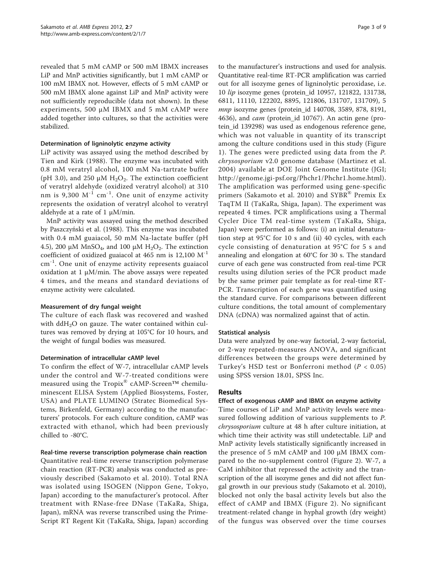revealed that 5 mM cAMP or 500 mM IBMX increases LiP and MnP activities significantly, but 1 mM cAMP or 100 mM IBMX not. However, effects of 5 mM cAMP or 500 mM IBMX alone against LiP and MnP activity were not sufficiently reproducible (data not shown). In these experiments, 500 μM IBMX and 5 mM cAMP were added together into cultures, so that the activities were stabilized.

#### Determination of ligninolytic enzyme activity

LiP activity was assayed using the method described by [Tien and Kirk \(1988\)](#page-7-0). The enzyme was incubated with 0.8 mM veratryl alcohol, 100 mM Na-tartrate buffer (pH 3.0), and 250  $\mu$ M H<sub>2</sub>O<sub>2</sub>. The extinction coefficient of veratryl aldehyde (oxidized veratryl alcohol) at 310 nm is 9,300  $M^{-1}$  cm<sup>-1</sup>. One unit of enzyme activity represents the oxidation of veratryl alcohol to veratryl aldehyde at a rate of 1  $\mu$ M/min.

MnP activity was assayed using the method described by Paszczyń[ski et al. \(1988\)](#page-7-0). This enzyme was incubated with 0.4 mM guaiacol, 50 mM Na-lactate buffer (pH 4.5), 200 μM MnSO<sub>4</sub>, and 100 μM H<sub>2</sub>O<sub>2</sub>. The extinction coefficient of oxidized guaiacol at 465 nm is  $12,100 \text{ M}^{-1}$ cm<sup>-1</sup>. One unit of enzyme activity represents guaiacol oxidation at 1 μM/min. The above assays were repeated 4 times, and the means and standard deviations of enzyme activity were calculated.

#### Measurement of dry fungal weight

The culture of each flask was recovered and washed with  $ddH<sub>2</sub>O$  on gauze. The water contained within cultures was removed by drying at 105°C for 10 hours, and the weight of fungal bodies was measured.

#### Determination of intracellular cAMP level

To confirm the effect of W-7, intracellular cAMP levels under the control and W-7-treated conditions were measured using the Tropix® cAMP-Screen™ chemiluminescent ELISA System (Applied Biosystems, Foster, USA) and PLATE LUMINO (Stratec Biomedical Systems, Birkenfeld, Germany) according to the manufacturers' protocols. For each culture condition, cAMP was extracted with ethanol, which had been previously chilled to -80°C.

#### Real-time reverse transcription polymerase chain reaction

Quantitative real-time reverse transcription polymerase chain reaction (RT-PCR) analysis was conducted as previously described ([Sakamoto et al. 2010\)](#page-7-0). Total RNA was isolated using ISOGEN (Nippon Gene, Tokyo, Japan) according to the manufacturer's protocol. After treatment with RNase-free DNase (TaKaRa, Shiga, Japan), mRNA was reverse transcribed using the Prime-Script RT Regent Kit (TaKaRa, Shiga, Japan) according

to the manufacturer's instructions and used for analysis. Quantitative real-time RT-PCR amplification was carried out for all isozyme genes of ligninolytic peroxidase, i.e. 10 lip isozyme genes (protein\_id 10957, 121822, 131738, 6811, 11110, 122202, 8895, 121806, 131707, 131709), 5 mnp isozyme genes (protein\_id 140708, 3589, 878, 8191, 4636), and *cam* (protein\_id 10767). An actin gene (protein\_id 139298) was used as endogenous reference gene, which was not valuable in quantity of its transcript among the culture conditions used in this study (Figure [1\)](#page-3-0). The genes were predicted using data from the P. chrysosporium v2.0 genome database ([Martinez et al.](#page-7-0) [2004\)](#page-7-0) available at DOE Joint Genome Institute (JGI; [http://genome.jgi-psf.org/Phchr1/Phchr1.home.html\)](http://genome.jgi-psf.org/Phchr1/Phchr1.home.html). The amplification was performed using gene-specific primers ([Sakamoto et al. 2010](#page-7-0)) and SYBR<sup>®</sup> Premix Ex TaqTM II (TaKaRa, Shiga, Japan). The experiment was repeated 4 times. PCR amplifications using a Thermal Cycler Dice TM real-time system (TaKaRa, Shiga, Japan) were performed as follows: (i) an initial denaturation step at 95°C for 10 s and (ii) 40 cycles, with each cycle consisting of denaturation at 95°C for 5 s and annealing and elongation at 60°C for 30 s. The standard curve of each gene was constructed from real-time PCR results using dilution series of the PCR product made by the same primer pair template as for real-time RT-PCR. Transcription of each gene was quantified using the standard curve. For comparisons between different culture conditions, the total amount of complementary DNA (cDNA) was normalized against that of actin.

#### Statistical analysis

Data were analyzed by one-way factorial, 2-way factorial, or 2-way repeated-measures ANOVA, and significant differences between the groups were determined by Turkey's HSD test or Bonferroni method ( $P < 0.05$ ) using SPSS version 18.01, SPSS Inc.

## Results

## Effect of exogenous cAMP and IBMX on enzyme activity

Time courses of LiP and MnP activity levels were measured following addition of various supplements to P. chrysosporium culture at 48 h after culture initiation, at which time their activity was still undetectable. LiP and MnP activity levels statistically significantly increased in the presence of 5 mM cAMP and 100 μM IBMX compared to the no-supplement control (Figure [2](#page-3-0)). W-7, a CaM inhibitor that repressed the activity and the transcription of the all isozyme genes and did not affect fungal growth in our previous study ([Sakamoto et al. 2010](#page-7-0)), blocked not only the basal activity levels but also the effect of cAMP and IBMX (Figure [2](#page-3-0)). No significant treatment-related change in hyphal growth (dry weight) of the fungus was observed over the time courses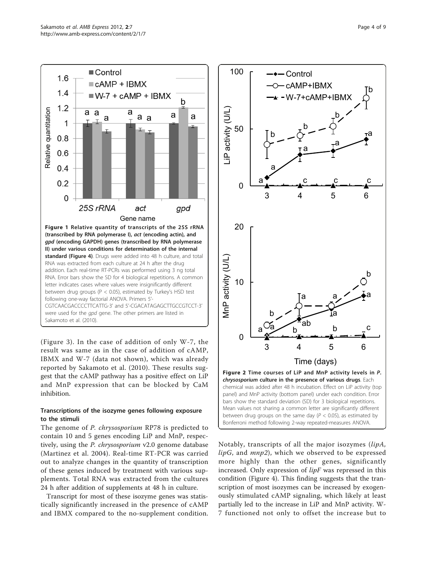<span id="page-3-0"></span>

(Figure [3\)](#page-4-0). In the case of addition of only W-7, the result was same as in the case of addition of cAMP, IBMX and W-7 (data not shown), which was already reported by [Sakamoto et al. \(2010\).](#page-7-0) These results suggest that the cAMP pathway has a positive effect on LiP and MnP expression that can be blocked by CaM inhibition.

# Transcriptions of the isozyme genes following exposure to the stimuli

The genome of P. chrysosporium RP78 is predicted to contain 10 and 5 genes encoding LiP and MnP, respectively, using the P. chrysosporium v2.0 genome database ([Martinez et al. 2004](#page-7-0)). Real-time RT-PCR was carried out to analyze changes in the quantity of transcription of these genes induced by treatment with various supplements. Total RNA was extracted from the cultures 24 h after addition of supplements at 48 h in culture.

Transcript for most of these isozyme genes was statistically significantly increased in the presence of cAMP and IBMX compared to the no-supplement condition.



Notably, transcripts of all the major isozymes (lipA,  $lipG$ , and  $mnp2$ ), which we observed to be expressed more highly than the other genes, significantly increased. Only expression of  $lipF$  was repressed in this condition (Figure [4](#page-5-0)). This finding suggests that the transcription of most isozymes can be increased by exogenously stimulated cAMP signaling, which likely at least partially led to the increase in LiP and MnP activity. W-7 functioned not only to offset the increase but to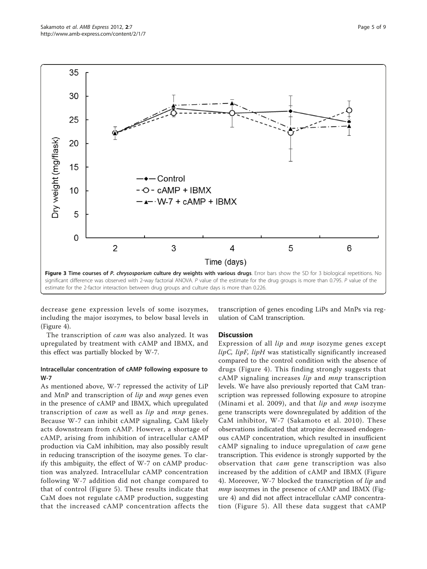<span id="page-4-0"></span>

decrease gene expression levels of some isozymes, including the major isozymes, to below basal levels in (Figure [4\)](#page-5-0).

The transcription of cam was also analyzed. It was upregulated by treatment with cAMP and IBMX, and this effect was partially blocked by W-7.

#### Intracellular concentration of cAMP following exposure to W-7

As mentioned above, W-7 repressed the activity of LiP and MnP and transcription of *lip* and *mnp* genes even in the presence of cAMP and IBMX, which upregulated transcription of *cam* as well as *lip* and *mnp* genes. Because W-7 can inhibit cAMP signaling, CaM likely acts downstream from cAMP. However, a shortage of cAMP, arising from inhibition of intracellular cAMP production via CaM inhibition, may also possibly result in reducing transcription of the isozyme genes. To clarify this ambiguity, the effect of W-7 on cAMP production was analyzed. Intracellular cAMP concentration following W-7 addition did not change compared to that of control (Figure [5](#page-6-0)). These results indicate that CaM does not regulate cAMP production, suggesting that the increased cAMP concentration affects the

transcription of genes encoding LiPs and MnPs via regulation of CaM transcription.

#### **Discussion**

Expression of all *lip* and *mnp* isozyme genes except lipC, lipF, lipH was statistically significantly increased compared to the control condition with the absence of drugs (Figure [4](#page-5-0)). This finding strongly suggests that cAMP signaling increases lip and mnp transcription levels. We have also previously reported that CaM transcription was repressed following exposure to atropine ([Minami et al. 2009\)](#page-7-0), and that  $lip$  and  $mnp$  isozyme gene transcripts were downregulated by addition of the CaM inhibitor, W-7 ([Sakamoto et al. 2010\)](#page-7-0). These observations indicated that atropine decreased endogenous cAMP concentration, which resulted in insufficient cAMP signaling to induce upregulation of cam gene transcription. This evidence is strongly supported by the observation that *cam* gene transcription was also increased by the addition of cAMP and IBMX (Figure [4\)](#page-5-0). Moreover, W-7 blocked the transcription of lip and *mnp* isozymes in the presence of cAMP and IBMX (Figure [4\)](#page-5-0) and did not affect intracellular cAMP concentration (Figure [5\)](#page-6-0). All these data suggest that cAMP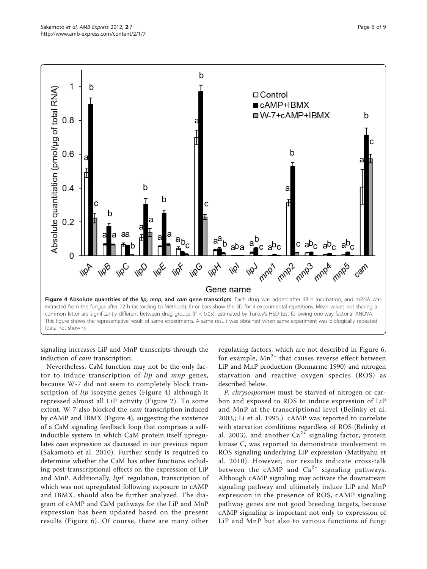<span id="page-5-0"></span>

signaling increases LiP and MnP transcripts through the induction of cam transcription.

Nevertheless, CaM function may not be the only factor to induce transcription of lip and mnp genes, because W-7 did not seem to completely block transcription of *lip* isozyme genes (Figure 4) although it repressed almost all LiP activity (Figure [2\)](#page-3-0). To some extent, W-7 also blocked the cam transcription induced by cAMP and IBMX (Figure 4), suggesting the existence of a CaM signaling feedback loop that comprises a selfinducible system in which CaM protein itself upregulates cam expression as discussed in our previous report ([Sakamoto et al. 2010\)](#page-7-0). Further study is required to determine whether the CaM has other functions including post-transcriptional effects on the expression of LiP and MnP. Additionally, lipF regulation, transcription of which was not upregulated following exposure to cAMP and IBMX, should also be further analyzed. The diagram of cAMP and CaM pathways for the LiP and MnP expression has been updated based on the present results (Figure [6](#page-6-0)). Of course, there are many other

regulating factors, which are not described in Figure [6](#page-6-0), for example,  $Mn^{2+}$  that causes reverse effect between LiP and MnP production [\(Bonnarme 1990\)](#page-7-0) and nitrogen starvation and reactive oxygen species (ROS) as described below.

P. chrysosporium must be starved of nitrogen or carbon and exposed to ROS to induce expression of LiP and MnP at the transcriptional level ([Belinky et al.](#page-7-0) [2003](#page-7-0),; [Li et al. 1995,](#page-7-0)). cAMP was reported to correlate with starvation conditions regardless of ROS [\(Belinky et](#page-7-0) [al. 2003\)](#page-7-0), and another  $Ca^{2+}$  signaling factor, protein kinase C, was reported to demonstrate involvement in ROS signaling underlying LiP expression ([Matityahu et](#page-7-0) [al. 2010](#page-7-0)). However, our results indicate cross-talk between the cAMP and  $Ca^{2+}$  signaling pathways. Although cAMP signaling may activate the downstream signaling pathway and ultimately induce LiP and MnP expression in the presence of ROS, cAMP signaling pathway genes are not good breeding targets, because cAMP signaling is important not only to expression of LiP and MnP but also to various functions of fungi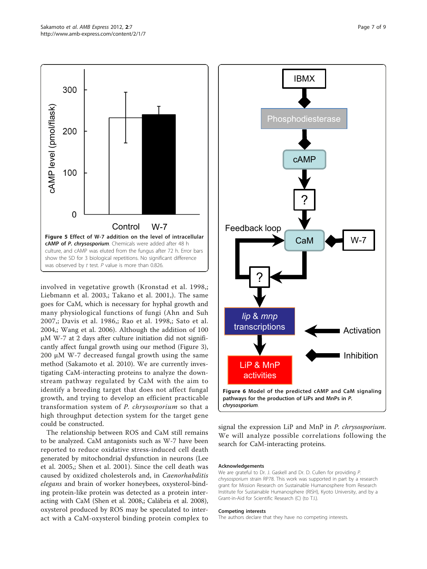<span id="page-6-0"></span>

involved in vegetative growth ([Kronstad et al. 1998,](#page-7-0); [Liebmann et al. 2003](#page-7-0),; [Takano et al. 2001](#page-7-0),). The same goes for CaM, which is necessary for hyphal growth and many physiological functions of fungi ([Ahn and Suh](#page-7-0) [2007,](#page-7-0); [Davis et al. 1986](#page-7-0),; [Rao et al. 1998](#page-7-0),; [Sato et al.](#page-7-0) [2004,](#page-7-0); [Wang et al. 2006](#page-7-0)). Although the addition of 100 μM W-7 at 2 days after culture initiation did not significantly affect fungal growth using our method (Figure [3](#page-4-0)), 200 μM W-7 decreased fungal growth using the same method ([Sakamoto et al. 2010\)](#page-7-0). We are currently investigating CaM-interacting proteins to analyze the downstream pathway regulated by CaM with the aim to identify a breeding target that does not affect fungal growth, and trying to develop an efficient practicable transformation system of P. chrysosporium so that a high throughput detection system for the target gene could be constructed.

The relationship between ROS and CaM still remains to be analyzed. CaM antagonists such as W-7 have been reported to reduce oxidative stress-induced cell death generated by mitochondrial dysfunction in neurons [\(Lee](#page-7-0) [et al. 2005](#page-7-0),; [Shen et al. 2001](#page-7-0)). Since the cell death was caused by oxidized cholesterols and, in Caenorhabditis elegans and brain of worker honeybees, oxysterol-binding protein-like protein was detected as a protein interacting with CaM [\(Shen et al. 2008](#page-7-0),; [Calábria et al. 2008](#page-7-0)), oxysterol produced by ROS may be speculated to interact with a CaM-oxysterol binding protein complex to



signal the expression LiP and MnP in P. chrysosporium. We will analyze possible correlations following the search for CaM-interacting proteins.

#### Acknowledgements

We are grateful to Dr. J. Gaskell and Dr. D. Cullen for providing P. chrysosporium strain RP78. This work was supported in part by a research grant for Mission Research on Sustainable Humanosphere from Research Institute for Sustainable Humanosphere (RISH), Kyoto University, and by a Grant-in-Aid for Scientific Research (C) (to T.I.).

#### Competing interests

The authors declare that they have no competing interests.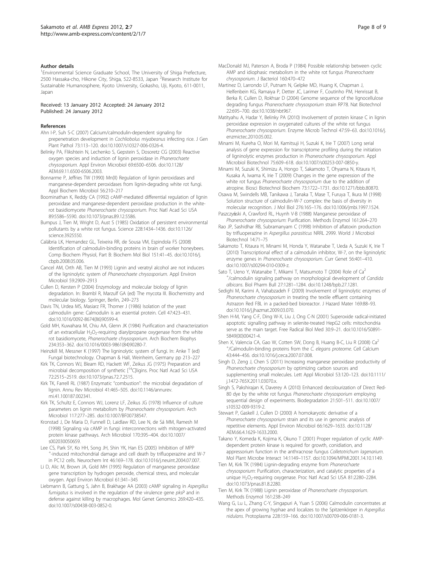#### <span id="page-7-0"></span>Author details

<sup>1</sup> Environmental Science Graduate School, The University of Shiga Prefecture, 2500 Hassaka-cho, Hikone City, Shiga, 522-8533, Japan <sup>2</sup>Research Institute for Sustainable Humanosphere, Kyoto University, Gokasho, Uji, Kyoto, 611-0011, Japan

#### Received: 13 January 2012 Accepted: 24 January 2012 Published: 24 January 2012

#### References

- Ahn I-P, Suh S-C (2007) Calcium/calmodulin-dependent signaling for prepenetration development in Cochliobolus miyabeanus infecting rice. J Gen Plant Pathol 73:113–120. doi:10.1007/s10327-006-0326-4.
- Belinky PA, Flikshtein N, Lechenko S, Gepstein S, Dosoretz CG (2003) [Reactive](http://www.ncbi.nlm.nih.gov/pubmed/14602606?dopt=Abstract) [oxygen species and induction of lignin peroxidase in](http://www.ncbi.nlm.nih.gov/pubmed/14602606?dopt=Abstract) Phanerochaete [chrysosporium](http://www.ncbi.nlm.nih.gov/pubmed/14602606?dopt=Abstract). Appl Environ Microbiol 69:6500–6506. doi:10.1128/ AEM.69.11.6500-6506.2003.
- Bonnarme P, Jeffries TW (1990) Mn(II) Regulation of lignin peroxidases and manganese-dependent peroxidases from lignin-degrading white rot fungi. Appl Biochem Microbiol 56:210–217
- Boominathan K, Reddy CA (1992[\) cAMP-mediated differential regulation of lignin](http://www.ncbi.nlm.nih.gov/pubmed/1319067?dopt=Abstract) [peroxidase and manganese-dependent peroxidase production in the white](http://www.ncbi.nlm.nih.gov/pubmed/1319067?dopt=Abstract)rot basidiomycete [Phanerochaete chrysosporium](http://www.ncbi.nlm.nih.gov/pubmed/1319067?dopt=Abstract). Proc Natl Acad Sci USA 89:5586–5590. doi:10.1073/pnas.89.12.5586.
- Bumpus J, Tien M, Wright D, Aust S (1985) [Oxidation of persistent environmental](http://www.ncbi.nlm.nih.gov/pubmed/3925550?dopt=Abstract) [pollutants by a white rot fungus.](http://www.ncbi.nlm.nih.gov/pubmed/3925550?dopt=Abstract) Science 228:1434–1436. doi:10.1126/ science.3925550.
- Calábria LK, Hernandez GL, Teixeira RR, de Sousa VM, Espindola FS (2008) Identification of calmodulin-binding proteins in brain of worker honeybees. Comp Biochem Physiol, Part B: Biochem Mol Biol 151:41–45. doi:10.1016/j. cbpb.2008.05.006.
- Cancel AM, Orth AB, Tien M (1993) [Lignin and veratryl alcohol are not inducers](http://www.ncbi.nlm.nih.gov/pubmed/8215363?dopt=Abstract) of the ligninolytic system of [Phanerochaete chrysosporium](http://www.ncbi.nlm.nih.gov/pubmed/8215363?dopt=Abstract). Appl Environ Microbiol 59:2909–2913
- Cullen D, Kersten P (2004) Enzymology and molecular biology of lignin degradation. In: Brambl R, Marzulf GA (ed) The mycota III. Biochemistry and molecular biology. Springer, Berlin, 249–273
- Davis TN, Urdea MS, Masiarz FR, Thorner J (1986) [Isolation of the yeast](http://www.ncbi.nlm.nih.gov/pubmed/3533275?dopt=Abstract) [calmodulin gene: Calmodulin is an essential protein.](http://www.ncbi.nlm.nih.gov/pubmed/3533275?dopt=Abstract) Cell 47:423–431. doi:10.1016/0092-8674(86)90599-4.
- Gold MH, Kuwahara M, Chiu AA, Glenn JK (1984) [Purification and characterization](http://www.ncbi.nlm.nih.gov/pubmed/6497376?dopt=Abstract) of an extracellular  $H_2O_2$ -requiring diarylpropane oxygenase from the white rot basidiomycete, [Phanerochaete chrysosporium](http://www.ncbi.nlm.nih.gov/pubmed/6497376?dopt=Abstract). Arch Biochem Biophys 234:353–362. doi:10.1016/0003-9861(84)90280-7.
- Heinzkill M, Messner K (1997) The ligninolytic system of fungi. In: Anke T (ed) Fungal biotechnology. Chapman & Hall, Weinheim, Germany pp 213–227
- Kirk TK, Connors WJ, Bleam RD, Hackett WF, Zeikus JG (1975) [Preparation and](http://www.ncbi.nlm.nih.gov/pubmed/1058470?dopt=Abstract) [microbial](http://www.ncbi.nlm.nih.gov/pubmed/1058470?dopt=Abstract) [decomposition](http://www.ncbi.nlm.nih.gov/pubmed/1058470?dopt=Abstract) [of](http://www.ncbi.nlm.nih.gov/pubmed/1058470?dopt=Abstract) [synthetic](http://www.ncbi.nlm.nih.gov/pubmed/1058470?dopt=Abstract) [\[](http://www.ncbi.nlm.nih.gov/pubmed/1058470?dopt=Abstract)<sup>14</sup>C]ligins. Proc Natl Acad Sci USA 72:2515–2519. doi:10.1073/pnas.72.7.2515.
- Kirk TK, Farrell RL (1987) Enzymatic "[combustion": the microbial degradation of](http://www.ncbi.nlm.nih.gov/pubmed/3318677?dopt=Abstract) [lignin.](http://www.ncbi.nlm.nih.gov/pubmed/3318677?dopt=Abstract) Annu Rev Microbiol 41:465–505. doi:10.1146/annurev. mi.41.100187.002341.
- Kirk TK, Schultz E, Connors WJ, Lorenz LF, Zeikus JG (1978) Influence of culture parameters on lignin metabolism by Phanerochaete chrysosporium. Arch Microbiol 117:277–285. doi:10.1007/BF00738547.
- Kronstad J, De Maria D, Funnell D, Laidlaw RD, Lee N, de Sá MM, Ramesh M (1998[\) Signaling via cAMP in fungi: interconnections with mitogen-activated](http://www.ncbi.nlm.nih.gov/pubmed/9799282?dopt=Abstract) [protein kinase pathways.](http://www.ncbi.nlm.nih.gov/pubmed/9799282?dopt=Abstract) Arch Microbiol 170:395–404. doi:10.1007/ s002030050659.
- Lee CS, Park SY, Ko HH, Song JH, Shin YK, Han ES (2005) [Inhibition of MPP](http://www.ncbi.nlm.nih.gov/pubmed/15627517?dopt=Abstract) [-induced mitochondrial damage and cell death by trifluoperazine and W-7](http://www.ncbi.nlm.nih.gov/pubmed/15627517?dopt=Abstract) [in PC12 cells.](http://www.ncbi.nlm.nih.gov/pubmed/15627517?dopt=Abstract) Neurochem Int 46:169–178. doi:10.1016/j.neuint.2004.07.007.
- Li D, Alic M, Brown JA, Gold MH (1995) [Regulation of manganese peroxidase](http://www.ncbi.nlm.nih.gov/pubmed/7887613?dopt=Abstract) [gene transcription by hydrogen peroxide, chemical stress, and molecular](http://www.ncbi.nlm.nih.gov/pubmed/7887613?dopt=Abstract) [oxygen.](http://www.ncbi.nlm.nih.gov/pubmed/7887613?dopt=Abstract) Appl Environ Microbiol 61:341–345
- Liebmann B, Gattung S, Jahn B, Brakhage AA (2003) [cAMP signaling in](http://www.ncbi.nlm.nih.gov/pubmed/12734751?dopt=Abstract) Aspergillus fumigatus [is involved in the regulation of the virulence gene](http://www.ncbi.nlm.nih.gov/pubmed/12734751?dopt=Abstract) pksP and in [defense against killing by macrophages.](http://www.ncbi.nlm.nih.gov/pubmed/12734751?dopt=Abstract) Mol Genet Genomics 269:420–435. doi:10.1007/s00438-003-0852-0.
- MacDonald MJ, Paterson A, Broda P (1984[\) Possible relationship between cyclic](http://www.ncbi.nlm.nih.gov/pubmed/6090435?dopt=Abstract) [AMP and idiophasic metabolism in the white rot fungus](http://www.ncbi.nlm.nih.gov/pubmed/6090435?dopt=Abstract) Phanerochaete [chrysosporium](http://www.ncbi.nlm.nih.gov/pubmed/6090435?dopt=Abstract). J Bacteriol 160:470–472
- Martinez D, Larrondo LF, Putnam N, Gelpke MD, Huang K, Chapman J, Helfenbein KG, Ramaiya P, Detter JC, Larimer F, Coutinho PM, Henrissat B, Berka R, Cullen D, Rokhsar D (2004[\) Genome sequence of the lignocellulose](http://www.ncbi.nlm.nih.gov/pubmed/15122302?dopt=Abstract) degrading fungus [Phanerochaete chrysosporium](http://www.ncbi.nlm.nih.gov/pubmed/15122302?dopt=Abstract) strain RP78. Nat Biotechnol 22:695–700. doi:10.1038/nbt967.
- Matityahu A, Hadar Y, Belinky PA (2010) Involvement of protein kinase C in lignin peroxidase expression in oxygenated cultures of the white rot fungus Phanerochaete chrysosporium. Enzyme Microb Technol 47:59–63. doi:10.1016/j. enzmictec.2010.05.002.
- Minami M, Kureha O, Mori M, Kamitsuji H, Suzuki K, Irie T (2007[\) Long serial](http://www.ncbi.nlm.nih.gov/pubmed/17308906?dopt=Abstract) [analysis of gene expression for transcriptome profiling during the initiation](http://www.ncbi.nlm.nih.gov/pubmed/17308906?dopt=Abstract) [of ligninolytic enzymes production in](http://www.ncbi.nlm.nih.gov/pubmed/17308906?dopt=Abstract) Phanerochaete chrysosporium. Appl Microbiol Biotechnol 75:609–618. doi:10.1007/s00253-007-0850-y.
- Minami M, Suzuki K, Shimizu A, Hongo T, Sakamoto T, Ohyama N, Kitaura H, Kusaka A, Iwama K, Irie T (2009) [Changes in the gene expression of the](http://www.ncbi.nlm.nih.gov/pubmed/19661694?dopt=Abstract) white rot fungus [Phanerochaete chrysosporium](http://www.ncbi.nlm.nih.gov/pubmed/19661694?dopt=Abstract) due to the addition of [atropine.](http://www.ncbi.nlm.nih.gov/pubmed/19661694?dopt=Abstract) Biosci Biotechnol Biochem 73:1722–1731. doi:10.1271/bbb.80870.
- Osawa M, Swindells MB, Tanikawa J, Tanaka T, Mase T, Furuya T, Ikura M (1998) [Solution structure of calmodulin-W-7 complex: the basis of diversity in](http://www.ncbi.nlm.nih.gov/pubmed/9514729?dopt=Abstract) [molecular recognition.](http://www.ncbi.nlm.nih.gov/pubmed/9514729?dopt=Abstract) J Mol Biol 276:165–176. doi:10.1006/jmbi.1997.1524.
- Paszczyński A, Crawford RL, Huynh V-B (1988) Manganese peroxidase of Phanerochaete chrysosporium: Purification. Methods Enzymol 161:264–270
- Rao JP, Sashidhar RB, Subramanyam C (1998) Inhibition of aflatoxin production by trifluoperazine in Aspergillus parasiticus NRRL 2999. World J Microbiol Biotechnol 14:71–75
- Sakamoto T, Kitaura H, Minami M, Honda Y, Watanabe T, Ueda A, Suzuki K, Irie T (2010[\) Transcriptional effect of a calmodulin inhibitor, W-7, on the ligninolytic](http://www.ncbi.nlm.nih.gov/pubmed/20532887?dopt=Abstract) enzyme genes in [Phanerochaete chrysosporium](http://www.ncbi.nlm.nih.gov/pubmed/20532887?dopt=Abstract). Curr Genet 56:401–410. doi:10.1007/s00294-010-0309-z.
- Sato T, Ueno Y, Watanabe T, Mikami T, Matsumoto T (2004) [Role](http://www.ncbi.nlm.nih.gov/pubmed/15305037?dopt=Abstract) [of](http://www.ncbi.nlm.nih.gov/pubmed/15305037?dopt=Abstract) [Ca](http://www.ncbi.nlm.nih.gov/pubmed/15305037?dopt=Abstract)<sup>2</sup> [+](http://www.ncbi.nlm.nih.gov/pubmed/15305037?dopt=Abstract) [/calmodulin signaling pathway on morphological development of](http://www.ncbi.nlm.nih.gov/pubmed/15305037?dopt=Abstract) Candida [albicans](http://www.ncbi.nlm.nih.gov/pubmed/15305037?dopt=Abstract). Biol Pharm Bull 27:1281–1284. doi:10.1248/bpb.27.1281.
- Sedighi M, Karimi A, Vahabzadeh F (2009[\) Involvement of ligninolytic enzymes of](http://www.ncbi.nlm.nih.gov/pubmed/19395172?dopt=Abstract) Phanerochaete chrysosporium [in treating the textile effluent containing](http://www.ncbi.nlm.nih.gov/pubmed/19395172?dopt=Abstract) [Astrazon Red FBL in a packed-bed bioreactor.](http://www.ncbi.nlm.nih.gov/pubmed/19395172?dopt=Abstract) J Hazard Mater 169:88–93. doi:10.1016/j.jhazmat.2009.03.070.
- Shen H-M, Yang C-F, Ding W-X, Liu J, Ong C-N (2001) Superoxide radical-initiated apoptotic signalling pathway in selenite-treated HepG2 cells: mitochondria serve as the main target. Free Radical Biol Med 30:9–21. doi:10.1016/S0891- 5849(00)00421-4.
- Shen X, Valencia CA, Gao W, Cotten SW, Dong B, Huang B-C, Liu R (2008) [Ca](http://www.ncbi.nlm.nih.gov/pubmed/17854888?dopt=Abstract)<sup>2</sup> [+](http://www.ncbi.nlm.nih.gov/pubmed/17854888?dopt=Abstract) [/Calmodulin-binding proteins from the](http://www.ncbi.nlm.nih.gov/pubmed/17854888?dopt=Abstract) C. elegans proteome. Cell Calcium 43:444–456. doi:10.1016/j.ceca.2007.07.008.
- Singh D, Zeng J, Chen S (2011) [Increasing manganese peroxidase productivity of](http://www.ncbi.nlm.nih.gov/pubmed/21535047?dopt=Abstract) Phanerochaete chrysosporium [by optimizing carbon sources and](http://www.ncbi.nlm.nih.gov/pubmed/21535047?dopt=Abstract) [supplementing small molecules.](http://www.ncbi.nlm.nih.gov/pubmed/21535047?dopt=Abstract) Lett Appl Microbiol 53:120–123. doi:10.1111/ j.1472-765X.2011.03070.x.
- Singh S, Pakshirajan K, Daverey A (2010) [Enhanced decolourization of Direct Red-](http://www.ncbi.nlm.nih.gov/pubmed/19960234?dopt=Abstract)[80 dye by the white rot fungus](http://www.ncbi.nlm.nih.gov/pubmed/19960234?dopt=Abstract) Phanerochaete chrysosporium employing [sequential design of experiments.](http://www.ncbi.nlm.nih.gov/pubmed/19960234?dopt=Abstract) Biodegradation 21:501–511. doi:10.1007/ s10532-009-9319-2.
- Stewart P, Gaskell J, Cullen D (2000) [A homokaryotic derivative of a](http://www.ncbi.nlm.nih.gov/pubmed/10742252?dopt=Abstract) Phanerochaete chrysosporium [strain and its use in genomic analysis of](http://www.ncbi.nlm.nih.gov/pubmed/10742252?dopt=Abstract) [repetitive elements.](http://www.ncbi.nlm.nih.gov/pubmed/10742252?dopt=Abstract) Appl Environ Microbiol 66:1629–1633. doi:10.1128/ AEM.66.4.1629-1633.2000.
- Takano Y, Komeda K, Kojima K, Okuno T (2001) [Proper regulation of cyclic AMP](http://www.ncbi.nlm.nih.gov/pubmed/11605954?dopt=Abstract)[dependent protein kinase is required for growth, conidiation, and](http://www.ncbi.nlm.nih.gov/pubmed/11605954?dopt=Abstract) [appressorium function in the anthracnose fungus](http://www.ncbi.nlm.nih.gov/pubmed/11605954?dopt=Abstract) Colletotrichum lagenarium. Mol Plant Microbe Interact 14:1149–1157. doi:10.1094/MPMI.2001.14.10.1149.
- Tien M, Kirk TK (1984) [Lignin-degrading enzyme from](http://www.ncbi.nlm.nih.gov/pubmed/16593451?dopt=Abstract) Phanerochaete chrysosporium[: Purification, characterization, and catalytic properties of a](http://www.ncbi.nlm.nih.gov/pubmed/16593451?dopt=Abstract) unique H<sub>2</sub>O<sub>2</sub>-requiring oxygenase. Proc Natl Acad Sci USA 81:2280-2284. doi:10.1073/pnas.81.8.2280.
- Tien M, Kirk TK (1988) Lignin peroxidase of Phanerochaete chrysosporium. Methods Enzymol 161:238–249
- Wang G, Lu L, Zhang C-Y, Singapuri A, Yuan S (2006[\) Calmodulin concentrates at](http://www.ncbi.nlm.nih.gov/pubmed/16983484?dopt=Abstract) [the apex of growing hyphae and localizes to the Spitzenkörper in](http://www.ncbi.nlm.nih.gov/pubmed/16983484?dopt=Abstract) Aspergillus [nidulans](http://www.ncbi.nlm.nih.gov/pubmed/16983484?dopt=Abstract). Protoplasma 228:159–166. doi:10.1007/s00709-006-0181-3.